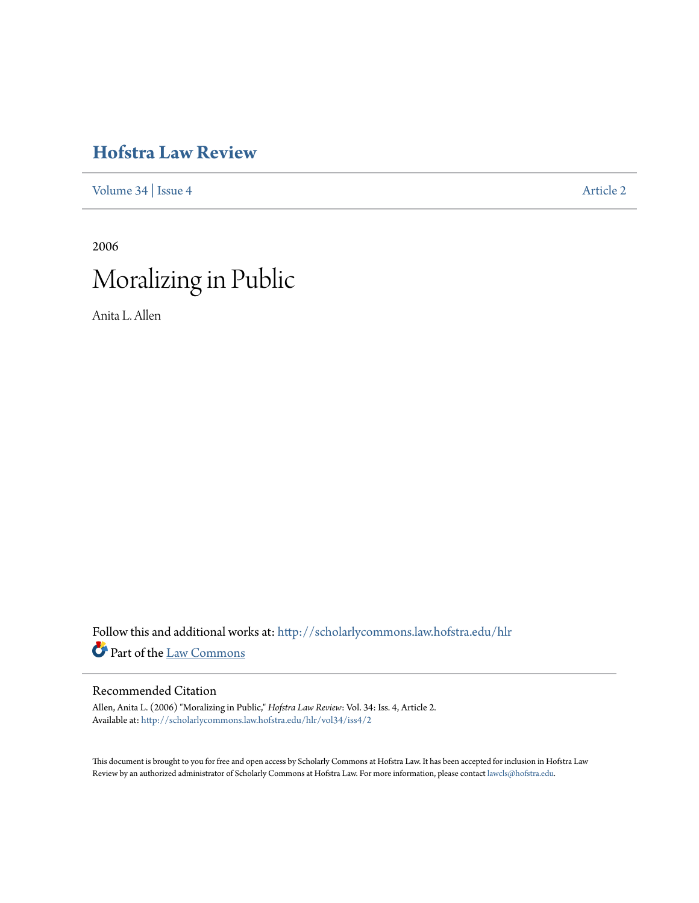# **[Hofstra Law Review](http://scholarlycommons.law.hofstra.edu/hlr?utm_source=scholarlycommons.law.hofstra.edu%2Fhlr%2Fvol34%2Fiss4%2F2&utm_medium=PDF&utm_campaign=PDFCoverPages)**

[Volume 34](http://scholarlycommons.law.hofstra.edu/hlr/vol34?utm_source=scholarlycommons.law.hofstra.edu%2Fhlr%2Fvol34%2Fiss4%2F2&utm_medium=PDF&utm_campaign=PDFCoverPages) | [Issue 4](http://scholarlycommons.law.hofstra.edu/hlr/vol34/iss4?utm_source=scholarlycommons.law.hofstra.edu%2Fhlr%2Fvol34%2Fiss4%2F2&utm_medium=PDF&utm_campaign=PDFCoverPages) [Article 2](http://scholarlycommons.law.hofstra.edu/hlr/vol34/iss4/2?utm_source=scholarlycommons.law.hofstra.edu%2Fhlr%2Fvol34%2Fiss4%2F2&utm_medium=PDF&utm_campaign=PDFCoverPages)

2006

# Moralizing in Public

Anita L. Allen

Follow this and additional works at: [http://scholarlycommons.law.hofstra.edu/hlr](http://scholarlycommons.law.hofstra.edu/hlr?utm_source=scholarlycommons.law.hofstra.edu%2Fhlr%2Fvol34%2Fiss4%2F2&utm_medium=PDF&utm_campaign=PDFCoverPages) Part of the [Law Commons](http://network.bepress.com/hgg/discipline/578?utm_source=scholarlycommons.law.hofstra.edu%2Fhlr%2Fvol34%2Fiss4%2F2&utm_medium=PDF&utm_campaign=PDFCoverPages)

# Recommended Citation

Allen, Anita L. (2006) "Moralizing in Public," *Hofstra Law Review*: Vol. 34: Iss. 4, Article 2. Available at: [http://scholarlycommons.law.hofstra.edu/hlr/vol34/iss4/2](http://scholarlycommons.law.hofstra.edu/hlr/vol34/iss4/2?utm_source=scholarlycommons.law.hofstra.edu%2Fhlr%2Fvol34%2Fiss4%2F2&utm_medium=PDF&utm_campaign=PDFCoverPages)

This document is brought to you for free and open access by Scholarly Commons at Hofstra Law. It has been accepted for inclusion in Hofstra Law Review by an authorized administrator of Scholarly Commons at Hofstra Law. For more information, please contact [lawcls@hofstra.edu](mailto:lawcls@hofstra.edu).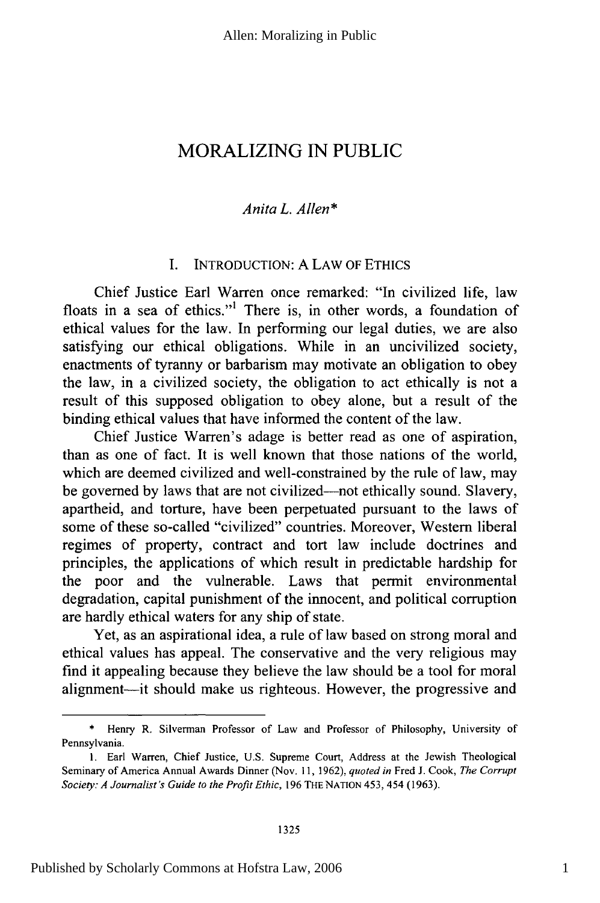# MORALIZING IN PUBLIC

### *Anita L. Allen\**

# I. INTRODUCTION: A LAW OF ETHICS

Chief Justice Earl Warren once remarked: "In civilized life, law floats in a sea of ethics."' There is, in other words, a foundation of ethical values for the law. In performing our legal duties, we are also satisfying our ethical obligations. While in an uncivilized society, enactments of tyranny or barbarism may motivate an obligation to obey the law, in a civilized society, the obligation to act ethically is not a result of this supposed obligation to obey alone, but a result of the binding ethical values that have informed the content of the law.

Chief Justice Warren's adage is better read as one of aspiration, than as one of fact. It is well known that those nations of the world, which are deemed civilized and well-constrained by the rule of law, may be governed by laws that are not civilized-not ethically sound. Slavery, apartheid, and torture, have been perpetuated pursuant to the laws of some of these so-called "civilized" countries. Moreover, Western liberal regimes of property, contract and tort law include doctrines and principles, the applications of which result in predictable hardship for the poor and the vulnerable. Laws that permit environmental degradation, capital punishment of the innocent, and political corruption are hardly ethical waters for any ship of state.

Yet, as an aspirational idea, a rule of law based on strong moral and ethical values has appeal. The conservative and the very religious may find it appealing because they believe the law should be a tool for moral alignment-it should make us righteous. However, the progressive and

Henry R. Silverman Professor of Law and Professor of Philosophy, University of Pennsylvania.

<sup>1.</sup> Earl Warren, Chief Justice, U.S. Supreme Court, Address at the Jewish Theological Seminary of America Annual Awards Dinner (Nov. 11, 1962), *quoted in* Fred J. Cook, *The Corrupt Society: A Journalist's Guide to the Profit Ethic,* 196 THE NATION 453, 454 (1963).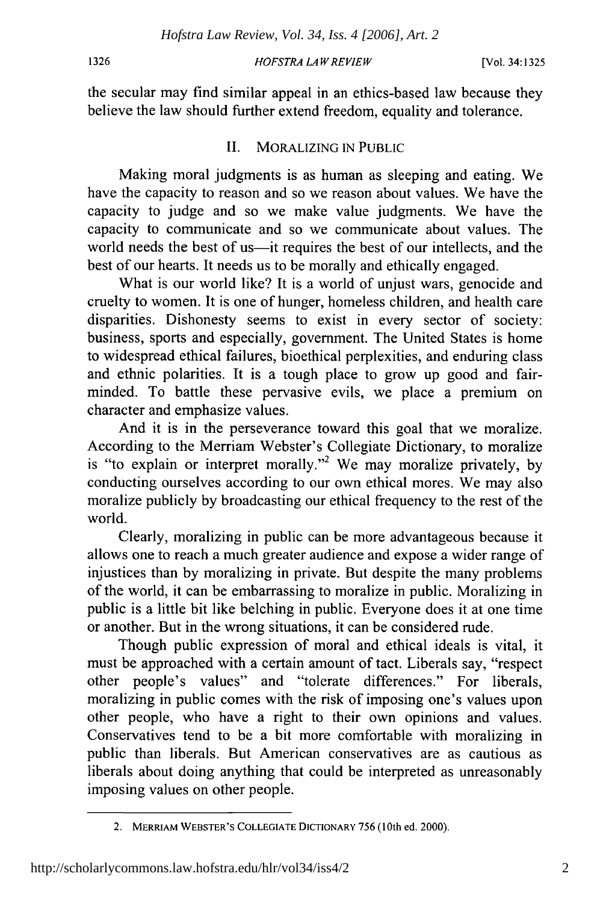#### 1326

#### HOFSTRA *LAW REVIEW*

the secular may find similar appeal in an ethics-based law because they believe the law should further extend freedom, equality and tolerance.

# II. MORALIZING IN PUBLIC

Making moral judgments is as human as sleeping and eating. We have the capacity to reason and so we reason about values. We have the capacity to judge and so we make value judgments. We have the capacity to communicate and so we communicate about values. The world needs the best of us-it requires the best of our intellects, and the best of our hearts. It needs us to be morally and ethically engaged.

What is our world like? It is a world of unjust wars, genocide and cruelty to women. It is one of hunger, homeless children, and health care disparities. Dishonesty seems to exist in every sector of society: business, sports and especially, government. The United States is home to widespread ethical failures, bioethical perplexities, and enduring class and ethnic polarities. It is a tough place to grow up good and fairminded. To battle these pervasive evils, we place a premium on character and emphasize values.

And it is in the perseverance toward this goal that we moralize. According to the Merriam Webster's Collegiate Dictionary, to moralize is "to explain or interpret morally."2 We may moralize privately, by conducting ourselves according to our own ethical mores. We may also moralize publicly by broadcasting our ethical frequency to the rest of the world.

Clearly, moralizing in public can be more advantageous because it allows one to reach a much greater audience and expose a wider range of injustices than by moralizing in private. But despite the many problems of the world, it can be embarrassing to moralize in public. Moralizing in public is a little bit like belching in public. Everyone does it at one time or another. But in the wrong situations, it can be considered rude.

Though public expression of moral and ethical ideals is vital, it must be approached with a certain amount of tact. Liberals say, "respect other people's values" and "tolerate differences." For liberals, moralizing in public comes with the risk of imposing one's values upon other people, who have a right to their own opinions and values. Conservatives tend to be a bit more comfortable with moralizing in public than liberals. But American conservatives are as cautious as liberals about doing anything that could be interpreted as unreasonably imposing values on other people.

<sup>2.</sup> MERRIAM WEBSTER'S **COLLEGIATE** DICTIONARY 756 (10th ed. 2000).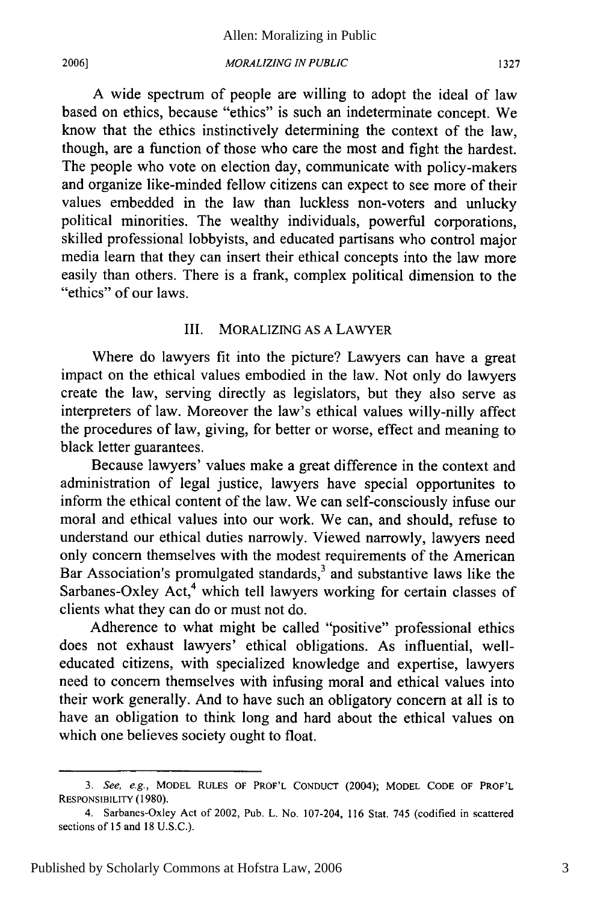*MORALIZING IN PUBLIC*

A wide spectrum of people are willing to adopt the ideal of law based on ethics, because "ethics" is such an indeterminate concept. We know that the ethics instinctively determining the context of the law, though, are a function of those who care the most and fight the hardest. The people who vote on election day, communicate with policy-makers and organize like-minded fellow citizens can expect to see more of their values embedded in the law than luckless non-voters and unlucky political minorities. The wealthy individuals, powerful corporations, skilled professional lobbyists, and educated partisans who control major media learn that they can insert their ethical concepts into the law more easily than others. There is a frank, complex political dimension to the "ethics" of our laws.

#### III. MORALIZING AS A LAWYER

Where do lawyers fit into the picture? Lawyers can have a great impact on the ethical values embodied in the law. Not only do lawyers create the law, serving directly as legislators, but they also serve as interpreters of law. Moreover the law's ethical values willy-nilly affect the procedures of law, giving, for better or worse, effect and meaning to black letter guarantees.

Because lawyers' values make a great difference in the context and administration of legal justice, lawyers have special opportunites to inform the ethical content of the law. We can self-consciously infuse our moral and ethical values into our work. We can, and should, refuse to understand our ethical duties narrowly. Viewed narrowly, lawyers need only concern themselves with the modest requirements of the American Bar Association's promulgated standards, $3$  and substantive laws like the Sarbanes-Oxley Act,<sup>4</sup> which tell lawyers working for certain classes of clients what they can do or must not do.

Adherence to what might be called "positive" professional ethics does not exhaust lawyers' ethical obligations. As influential, welleducated citizens, with specialized knowledge and expertise, lawyers need to concern themselves with infusing moral and ethical values into their work generally. And to have such an obligatory concern at all is to have an obligation to think long and hard about the ethical values on which one believes society ought to float.

*<sup>3.</sup>* See, e.g., MODEL **RULES** OF PROF'L **CONDUCT** (2004); MODEL **CODE** OF PROF'L RESPONSIBILITY **(1980).**

<sup>4.</sup> Sarbanes-Oxley Act of 2002, Pub. L. No. 107-204, 116 Stat. 745 (codified in scattered sections of 15 and 18 U.S.C.).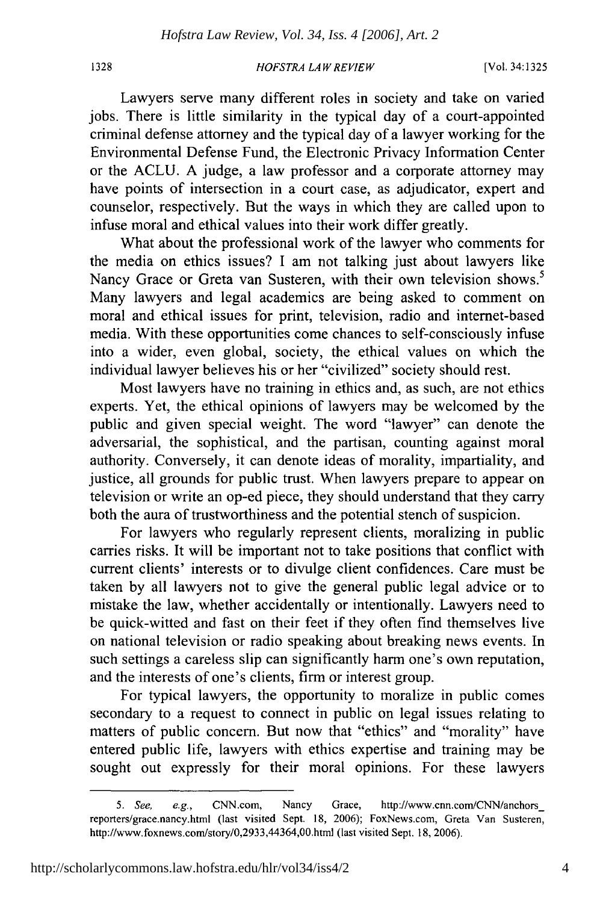1328

#### *HOFSTRA LAW REVIEW*

Lawyers serve many different roles in society and take on varied jobs. There is little similarity in the typical day of a court-appointed criminal defense attorney and the typical day of a lawyer working for the Environmental Defense Fund, the Electronic Privacy Information Center or the ACLU. A judge, a law professor and a corporate attorney may have points of intersection in a court case, as adjudicator, expert and counselor, respectively. But the ways in which they are called upon to infuse moral and ethical values into their work differ greatly.

What about the professional work of the lawyer who comments for the media on ethics issues? I am not talking just about lawyers like Nancy Grace or Greta van Susteren, with their own television shows.<sup>5</sup> Many lawyers and legal academics are being asked to comment on moral and ethical issues for print, television, radio and internet-based media. With these opportunities come chances to self-consciously infuse into a wider, even global, society, the ethical values on which the individual lawyer believes his or her "civilized" society should rest.

Most lawyers have no training in ethics and, as such, are not ethics experts. Yet, the ethical opinions of lawyers may be welcomed by the public and given special weight. The word "lawyer" can denote the adversarial, the sophistical, and the partisan, counting against moral authority. Conversely, it can denote ideas of morality, impartiality, and justice, all grounds for public trust. When lawyers prepare to appear on television or write an op-ed piece, they should understand that they carry both the aura of trustworthiness and the potential stench of suspicion.

For lawyers who regularly represent clients, moralizing in public carries risks. It will be important not to take positions that conflict with current clients' interests or to divulge client confidences. Care must be taken by all lawyers not to give the general public legal advice or to mistake the law, whether accidentally or intentionally. Lawyers need to be quick-witted and fast on their feet if they often find themselves live on national television or radio speaking about breaking news events. In such settings a careless slip can significantly harm one's own reputation, and the interests of one's clients, firm or interest group.

For typical lawyers, the opportunity to moralize in public comes secondary to a request to connect in public on legal issues relating to matters of public concern. But now that "ethics" and "morality" have entered public life, lawyers with ethics expertise and training may be sought out expressly for their moral opinions. For these lawyers

*<sup>5.</sup>* See, e.g., CNN.com, Nancy Grace, http://www.cnn.com/CNN/anchors\_ reporters/grace.nancy.html (last visited Sept. 18, 2006); FoxNews.com, Greta Van Susteren, http://www.foxnews.com/story/0,2933,44364,00.html (last visited Sept. 18, 2006).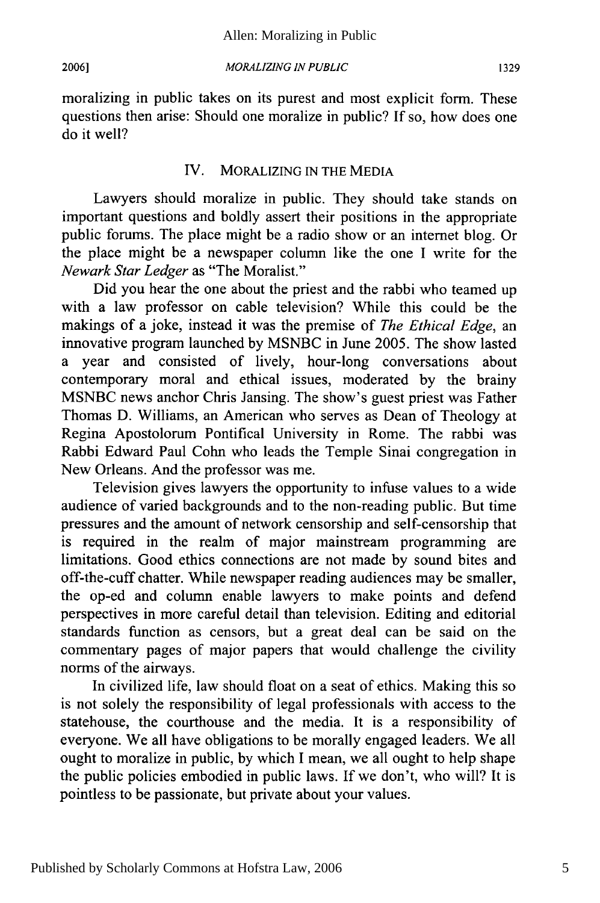*MORALIZING IN PUBLIC*

moralizing in public takes on its purest and most explicit form. These questions then arise: Should one moralize in public? If so, how does one do it well?

#### IV. MORALIZING IN THE MEDIA

Lawyers should moralize in public. They should take stands on important questions and boldly assert their positions in the appropriate public forums. The place might be a radio show or an internet blog. Or the place might be a newspaper column like the one I write for the *Newark Star Ledger* as "The Moralist."

Did you hear the one about the priest and the rabbi who teamed up with a law professor on cable television? While this could be the makings of a joke, instead it was the premise of *The Ethical Edge,* an innovative program launched by MSNBC in June 2005. The show lasted a year and consisted of lively, hour-long conversations about contemporary moral and ethical issues, moderated by the brainy MSNBC news anchor Chris Jansing. The show's guest priest was Father Thomas D. Williams, an American who serves as Dean of Theology at Regina Apostolorum Pontifical University in Rome. The rabbi was Rabbi Edward Paul Cohn who leads the Temple Sinai congregation in New Orleans. And the professor was me.

Television gives lawyers the opportunity to infuse values to a wide audience of varied backgrounds and to the non-reading public. But time pressures and the amount of network censorship and self-censorship that is required in the realm of major mainstream programming are limitations. Good ethics connections are not made by sound bites and off-the-cuff chatter. While newspaper reading audiences may be smaller, the op-ed and column enable lawyers to make points and defend perspectives in more careful detail than television. Editing and editorial standards function as censors, but a great deal can be said on the commentary pages of major papers that would challenge the civility norms of the airways.

In civilized life, law should float on a seat of ethics. Making this so is not solely the responsibility of legal professionals with access to the statehouse, the courthouse and the media. It is a responsibility of everyone. We all have obligations to be morally engaged leaders. We all ought to moralize in public, by which I mean, we all ought to help shape the public policies embodied in public laws. If we don't, who will? It is pointless to be passionate, but private about your values.